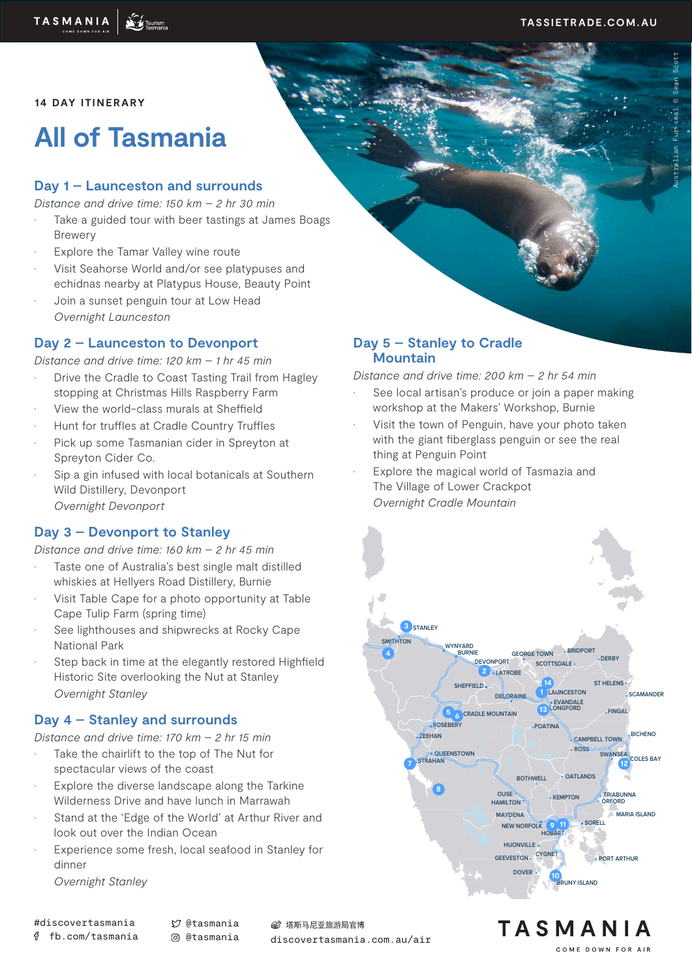**14 DAY ITINERARY**

# **All of Tasmania**

# **Day 1 – Launceston and surrounds**

*Distance and drive time: 150 km – 2 hr 30 min*

- Take a guided tour with beer tastings at James Boags Brewery
- Explore the Tamar Valley wine route
- Visit Seahorse World and/or see platypuses and echidnas nearby at Platypus House, Beauty Point
- Join a sunset penguin tour at Low Head *Overnight Launceston*

# **Day 2 – Launceston to Devonport**

*Distance and drive time: 120 km – 1 hr 45 min*

- Drive the Cradle to Coast Tasting Trail from Hagley stopping at Christmas Hills Raspberry Farm
- View the world-class murals at Sheffield
- Hunt for truffles at Cradle Country Truffles
- Pick up some Tasmanian cider in Spreyton at Spreyton Cider Co.
- Sip a gin infused with local botanicals at Southern Wild Distillery, Devonport *Overnight Devonport*

# **Day 3 – Devonport to Stanley**

*Distance and drive time: 160 km – 2 hr 45 min*

- Taste one of Australia's best single malt distilled whiskies at Hellyers Road Distillery, Burnie
- Visit Table Cape for a photo opportunity at Table Cape Tulip Farm (spring time)
- See lighthouses and shipwrecks at Rocky Cape National Park
- Step back in time at the elegantly restored Highfield Historic Site overlooking the Nut at Stanley *Overnight Stanley*

## **Day 4 – Stanley and surrounds**

*Distance and drive time: 170 km – 2 hr 15 min* 

- Take the chairlift to the top of The Nut for spectacular views of the coast
- Explore the diverse landscape along the Tarkine Wilderness Drive and have lunch in Marrawah
- Stand at the 'Edge of the World' at Arthur River and look out over the Indian Ocean
- Experience some fresh, local seafood in Stanley for dinner

*Overnight Stanley*

(6) 塔斯马尼亚旅游局官博

discovertasmania.com.au/air

#### **Day 5 – Stanley to Cradle Mountain**

*Distance and drive time: 200 km – 2 hr 54 min*

- See local artisan's produce or join a paper making workshop at the Makers' Workshop, Burnie
- Visit the town of Penguin, have your photo taken with the giant fiberglass penguin or see the real thing at Penguin Point
- Explore the magical world of Tasmazia and The Village of Lower Crackpot *Overnight Cradle Mountain*



COME DOWN FOR AIR

TASMANIA